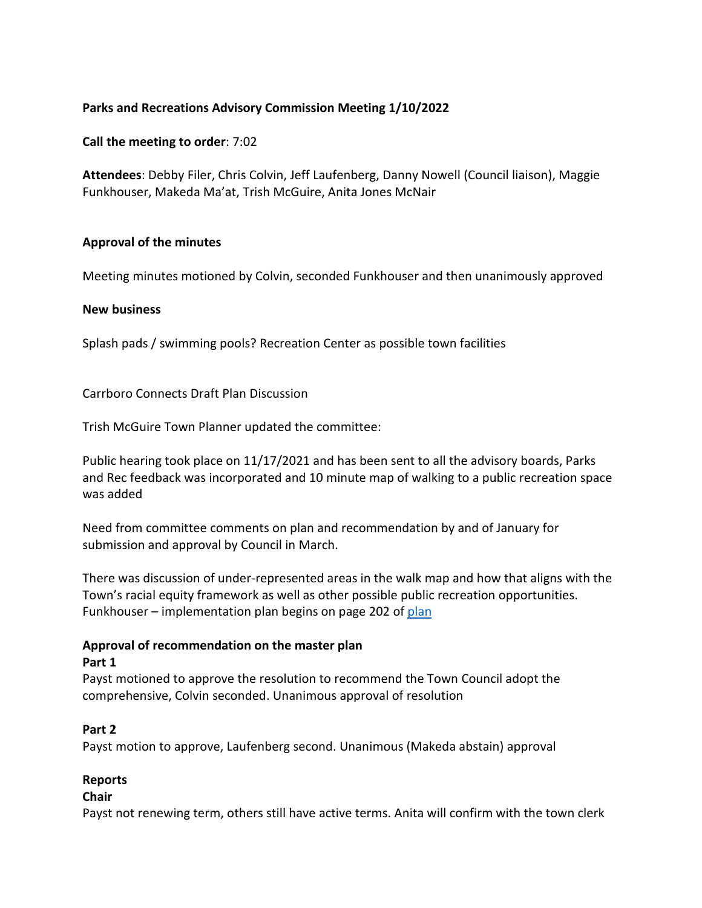## **Parks and Recreations Advisory Commission Meeting 1/10/2022**

**Call the meeting to order**: 7:02

**Attendees**: Debby Filer, Chris Colvin, Jeff Laufenberg, Danny Nowell (Council liaison), Maggie Funkhouser, Makeda Ma'at, Trish McGuire, Anita Jones McNair

## **Approval of the minutes**

Meeting minutes motioned by Colvin, seconded Funkhouser and then unanimously approved

#### **New business**

Splash pads / swimming pools? Recreation Center as possible town facilities

Carrboro Connects Draft Plan Discussion

Trish McGuire Town Planner updated the committee:

Public hearing took place on 11/17/2021 and has been sent to all the advisory boards, Parks and Rec feedback was incorporated and 10 minute map of walking to a public recreation space was added

Need from committee comments on plan and recommendation by and of January for submission and approval by Council in March.

There was discussion of under-represented areas in the walk map and how that aligns with the Town's racial equity framework as well as other possible public recreation opportunities. Funkhouser – implementation plan begins on page 202 of plan

#### **Approval of recommendation on the master plan Part 1**

Payst motioned to approve the resolution to recommend the Town Council adopt the comprehensive, Colvin seconded. Unanimous approval of resolution

#### **Part 2**

Payst motion to approve, Laufenberg second. Unanimous (Makeda abstain) approval

## **Reports**

#### **Chair**

Payst not renewing term, others still have active terms. Anita will confirm with the town clerk